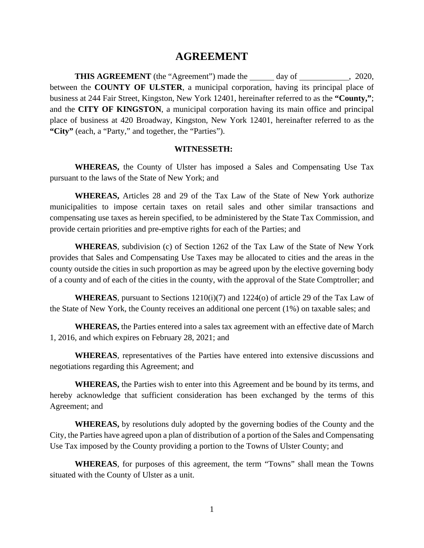## **AGREEMENT**

**THIS AGREEMENT** (the "Agreement") made the day of , 2020, between the **COUNTY OF ULSTER**, a municipal corporation, having its principal place of business at 244 Fair Street, Kingston, New York 12401, hereinafter referred to as the **"County,"**; and the **CITY OF KINGSTON**, a municipal corporation having its main office and principal place of business at 420 Broadway, Kingston, New York 12401, hereinafter referred to as the **"City"** (each, a "Party," and together, the "Parties").

## **WITNESSETH:**

**WHEREAS,** the County of Ulster has imposed a Sales and Compensating Use Tax pursuant to the laws of the State of New York; and

**WHEREAS,** Articles 28 and 29 of the Tax Law of the State of New York authorize municipalities to impose certain taxes on retail sales and other similar transactions and compensating use taxes as herein specified, to be administered by the State Tax Commission, and provide certain priorities and pre-emptive rights for each of the Parties; and

**WHEREAS**, subdivision (c) of Section 1262 of the Tax Law of the State of New York provides that Sales and Compensating Use Taxes may be allocated to cities and the areas in the county outside the cities in such proportion as may be agreed upon by the elective governing body of a county and of each of the cities in the county, with the approval of the State Comptroller; and

**WHEREAS**, pursuant to Sections 1210(i)(7) and 1224(o) of article 29 of the Tax Law of the State of New York, the County receives an additional one percent (1%) on taxable sales; and

**WHEREAS,** the Parties entered into a sales tax agreement with an effective date of March 1, 2016, and which expires on February 28, 2021; and

**WHEREAS**, representatives of the Parties have entered into extensive discussions and negotiations regarding this Agreement; and

**WHEREAS,** the Parties wish to enter into this Agreement and be bound by its terms, and hereby acknowledge that sufficient consideration has been exchanged by the terms of this Agreement; and

**WHEREAS,** by resolutions duly adopted by the governing bodies of the County and the City, the Parties have agreed upon a plan of distribution of a portion of the Sales and Compensating Use Tax imposed by the County providing a portion to the Towns of Ulster County; and

**WHEREAS**, for purposes of this agreement, the term "Towns" shall mean the Towns situated with the County of Ulster as a unit.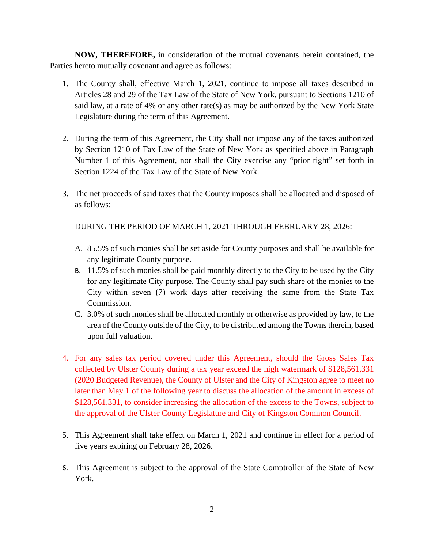**NOW, THEREFORE,** in consideration of the mutual covenants herein contained, the Parties hereto mutually covenant and agree as follows:

- 1. The County shall, effective March 1, 2021, continue to impose all taxes described in Articles 28 and 29 of the Tax Law of the State of New York, pursuant to Sections 1210 of said law, at a rate of 4% or any other rate(s) as may be authorized by the New York State Legislature during the term of this Agreement.
- 2. During the term of this Agreement, the City shall not impose any of the taxes authorized by Section 1210 of Tax Law of the State of New York as specified above in Paragraph Number 1 of this Agreement, nor shall the City exercise any "prior right" set forth in Section 1224 of the Tax Law of the State of New York.
- 3. The net proceeds of said taxes that the County imposes shall be allocated and disposed of as follows:

DURING THE PERIOD OF MARCH 1, 2021 THROUGH FEBRUARY 28, 2026:

- A. 85.5% of such monies shall be set aside for County purposes and shall be available for any legitimate County purpose.
- B. 11.5% of such monies shall be paid monthly directly to the City to be used by the City for any legitimate City purpose. The County shall pay such share of the monies to the City within seven (7) work days after receiving the same from the State Tax Commission.
- C. 3.0% of such monies shall be allocated monthly or otherwise as provided by law, to the area of the County outside of the City, to be distributed among the Towns therein, based upon full valuation.
- 4. For any sales tax period covered under this Agreement, should the Gross Sales Tax collected by Ulster County during a tax year exceed the high watermark of \$128,561,331 (2020 Budgeted Revenue), the County of Ulster and the City of Kingston agree to meet no later than May 1 of the following year to discuss the allocation of the amount in excess of \$128,561,331, to consider increasing the allocation of the excess to the Towns, subject to the approval of the Ulster County Legislature and City of Kingston Common Council.
- 5. This Agreement shall take effect on March 1, 2021 and continue in effect for a period of five years expiring on February 28, 2026.
- 6. This Agreement is subject to the approval of the State Comptroller of the State of New York.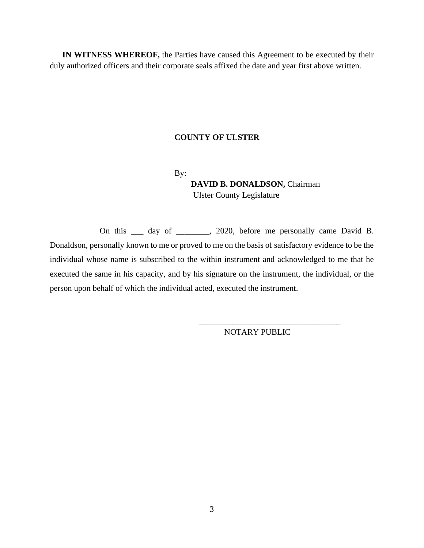**IN WITNESS WHEREOF,** the Parties have caused this Agreement to be executed by their duly authorized officers and their corporate seals affixed the date and year first above written.

## **COUNTY OF ULSTER**

 $By:$ 

 **DAVID B. DONALDSON,** Chairman *Ulster County Legislature* 

On this \_\_\_ day of \_\_\_\_\_\_, 2020, before me personally came David B. Donaldson, personally known to me or proved to me on the basis of satisfactory evidence to be the individual whose name is subscribed to the within instrument and acknowledged to me that he executed the same in his capacity, and by his signature on the instrument, the individual, or the person upon behalf of which the individual acted, executed the instrument.

NOTARY PUBLIC

\_\_\_\_\_\_\_\_\_\_\_\_\_\_\_\_\_\_\_\_\_\_\_\_\_\_\_\_\_\_\_\_\_\_